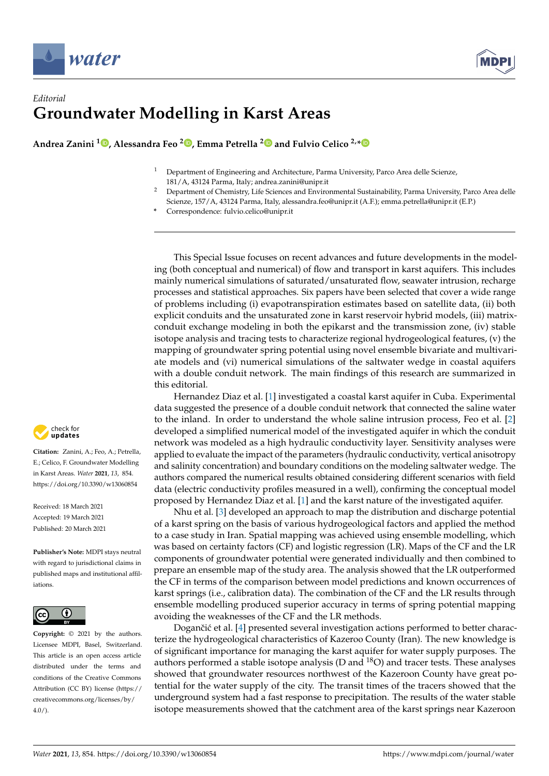



## *Editorial* **Groundwater Modelling in Karst Areas**

**Andrea Zanini <sup>1</sup> [,](https://orcid.org/0000-0002-4022-707X) Alessandra Feo [2](https://orcid.org/0000-0002-3332-2490) , Emma Petrella [2](https://orcid.org/0000-0002-4292-8814) and Fulvio Celico 2,[\\*](https://orcid.org/0000-0003-4666-5924)**

- <sup>1</sup> Department of Engineering and Architecture, Parma University, Parco Area delle Scienze, 181/A, 43124 Parma, Italy; andrea.zanini@unipr.it
- <sup>2</sup> Department of Chemistry, Life Sciences and Environmental Sustainability, Parma University, Parco Area delle Scienze, 157/A, 43124 Parma, Italy, alessandra.feo@unipr.it (A.F.); emma.petrella@unipr.it (E.P.)
- **\*** Correspondence: fulvio.celico@unipr.it

This Special Issue focuses on recent advances and future developments in the modeling (both conceptual and numerical) of flow and transport in karst aquifers. This includes mainly numerical simulations of saturated/unsaturated flow, seawater intrusion, recharge processes and statistical approaches. Six papers have been selected that cover a wide range of problems including (i) evapotranspiration estimates based on satellite data, (ii) both explicit conduits and the unsaturated zone in karst reservoir hybrid models, (iii) matrixconduit exchange modeling in both the epikarst and the transmission zone, (iv) stable isotope analysis and tracing tests to characterize regional hydrogeological features, (v) the mapping of groundwater spring potential using novel ensemble bivariate and multivariate models and (vi) numerical simulations of the saltwater wedge in coastal aquifers with a double conduit network. The main findings of this research are summarized in this editorial.

Hernandez Diaz et al. [\[1\]](#page-2-0) investigated a coastal karst aquifer in Cuba. Experimental data suggested the presence of a double conduit network that connected the saline water to the inland. In order to understand the whole saline intrusion process, Feo et al. [\[2\]](#page-2-1) developed a simplified numerical model of the investigated aquifer in which the conduit network was modeled as a high hydraulic conductivity layer. Sensitivity analyses were applied to evaluate the impact of the parameters (hydraulic conductivity, vertical anisotropy and salinity concentration) and boundary conditions on the modeling saltwater wedge. The authors compared the numerical results obtained considering different scenarios with field data (electric conductivity profiles measured in a well), confirming the conceptual model proposed by Hernandez Diaz et al. [\[1\]](#page-2-0) and the karst nature of the investigated aquifer.

Nhu et al. [\[3\]](#page-2-2) developed an approach to map the distribution and discharge potential of a karst spring on the basis of various hydrogeological factors and applied the method to a case study in Iran. Spatial mapping was achieved using ensemble modelling, which was based on certainty factors (CF) and logistic regression (LR). Maps of the CF and the LR components of groundwater potential were generated individually and then combined to prepare an ensemble map of the study area. The analysis showed that the LR outperformed the CF in terms of the comparison between model predictions and known occurrences of karst springs (i.e., calibration data). The combination of the CF and the LR results through ensemble modelling produced superior accuracy in terms of spring potential mapping avoiding the weaknesses of the CF and the LR methods.

Dogančić et al. [\[4\]](#page-2-3) presented several investigation actions performed to better characterize the hydrogeological characteristics of Kazeroo County (Iran). The new knowledge is of significant importance for managing the karst aquifer for water supply purposes. The authors performed a stable isotope analysis (D and  $^{18}O$ ) and tracer tests. These analyses showed that groundwater resources northwest of the Kazeroon County have great potential for the water supply of the city. The transit times of the tracers showed that the underground system had a fast response to precipitation. The results of the water stable isotope measurements showed that the catchment area of the karst springs near Kazeroon



**Citation:** Zanini, A.; Feo, A.; Petrella, E.; Celico, F. Groundwater Modelling in Karst Areas. *Water* **2021**, *13*, 854. <https://doi.org/10.3390/w13060854>

Received: 18 March 2021 Accepted: 19 March 2021 Published: 20 March 2021

**Publisher's Note:** MDPI stays neutral with regard to jurisdictional claims in published maps and institutional affiliations.



**Copyright:** © 2021 by the authors. Licensee MDPI, Basel, Switzerland. This article is an open access article distributed under the terms and conditions of the Creative Commons Attribution (CC BY) license (https:/[/](https://creativecommons.org/licenses/by/4.0/) [creativecommons.org/licenses/by/](https://creativecommons.org/licenses/by/4.0/)  $4.0/$ ).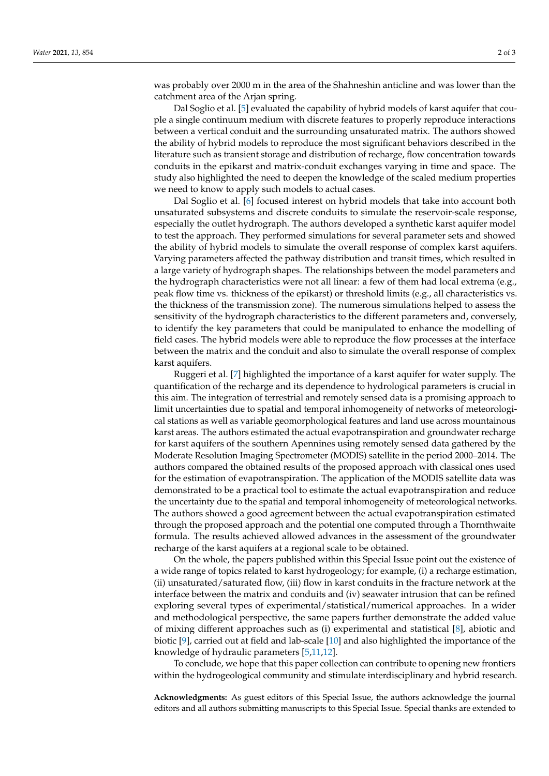was probably over 2000 m in the area of the Shahneshin anticline and was lower than the catchment area of the Arjan spring.

Dal Soglio et al. [\[5\]](#page-2-4) evaluated the capability of hybrid models of karst aquifer that couple a single continuum medium with discrete features to properly reproduce interactions between a vertical conduit and the surrounding unsaturated matrix. The authors showed the ability of hybrid models to reproduce the most significant behaviors described in the literature such as transient storage and distribution of recharge, flow concentration towards conduits in the epikarst and matrix-conduit exchanges varying in time and space. The study also highlighted the need to deepen the knowledge of the scaled medium properties we need to know to apply such models to actual cases.

Dal Soglio et al. [\[6\]](#page-2-5) focused interest on hybrid models that take into account both unsaturated subsystems and discrete conduits to simulate the reservoir-scale response, especially the outlet hydrograph. The authors developed a synthetic karst aquifer model to test the approach. They performed simulations for several parameter sets and showed the ability of hybrid models to simulate the overall response of complex karst aquifers. Varying parameters affected the pathway distribution and transit times, which resulted in a large variety of hydrograph shapes. The relationships between the model parameters and the hydrograph characteristics were not all linear: a few of them had local extrema (e.g., peak flow time vs. thickness of the epikarst) or threshold limits (e.g., all characteristics vs. the thickness of the transmission zone). The numerous simulations helped to assess the sensitivity of the hydrograph characteristics to the different parameters and, conversely, to identify the key parameters that could be manipulated to enhance the modelling of field cases. The hybrid models were able to reproduce the flow processes at the interface between the matrix and the conduit and also to simulate the overall response of complex karst aquifers.

Ruggeri et al. [\[7\]](#page-2-6) highlighted the importance of a karst aquifer for water supply. The quantification of the recharge and its dependence to hydrological parameters is crucial in this aim. The integration of terrestrial and remotely sensed data is a promising approach to limit uncertainties due to spatial and temporal inhomogeneity of networks of meteorological stations as well as variable geomorphological features and land use across mountainous karst areas. The authors estimated the actual evapotranspiration and groundwater recharge for karst aquifers of the southern Apennines using remotely sensed data gathered by the Moderate Resolution Imaging Spectrometer (MODIS) satellite in the period 2000–2014. The authors compared the obtained results of the proposed approach with classical ones used for the estimation of evapotranspiration. The application of the MODIS satellite data was demonstrated to be a practical tool to estimate the actual evapotranspiration and reduce the uncertainty due to the spatial and temporal inhomogeneity of meteorological networks. The authors showed a good agreement between the actual evapotranspiration estimated through the proposed approach and the potential one computed through a Thornthwaite formula. The results achieved allowed advances in the assessment of the groundwater recharge of the karst aquifers at a regional scale to be obtained.

On the whole, the papers published within this Special Issue point out the existence of a wide range of topics related to karst hydrogeology; for example, (i) a recharge estimation, (ii) unsaturated/saturated flow, (iii) flow in karst conduits in the fracture network at the interface between the matrix and conduits and (iv) seawater intrusion that can be refined exploring several types of experimental/statistical/numerical approaches. In a wider and methodological perspective, the same papers further demonstrate the added value of mixing different approaches such as (i) experimental and statistical [\[8\]](#page-2-7), abiotic and biotic [\[9\]](#page-2-8), carried out at field and lab-scale [\[10\]](#page-2-9) and also highlighted the importance of the knowledge of hydraulic parameters [\[5,](#page-2-4)[11,](#page-2-10)[12\]](#page-2-11).

To conclude, we hope that this paper collection can contribute to opening new frontiers within the hydrogeological community and stimulate interdisciplinary and hybrid research.

**Acknowledgments:** As guest editors of this Special Issue, the authors acknowledge the journal editors and all authors submitting manuscripts to this Special Issue. Special thanks are extended to